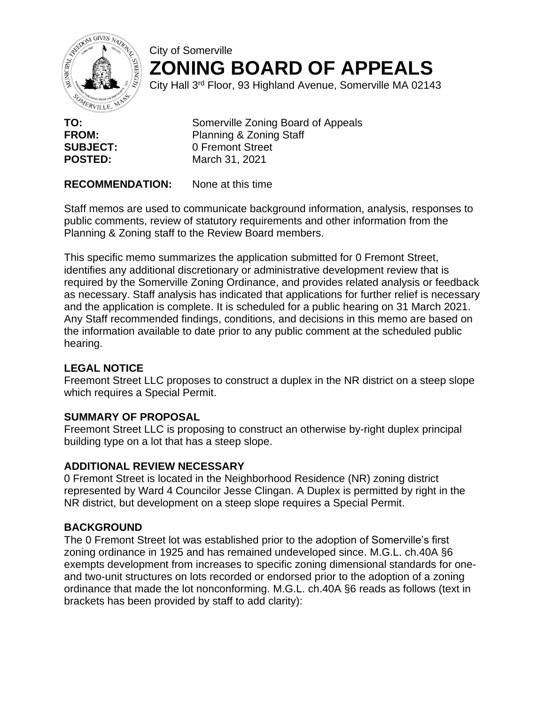

# City of Somerville **ZONING BOARD OF APPEALS**

City Hall 3rd Floor, 93 Highland Avenue, Somerville MA 02143

**TO:** Somerville Zoning Board of Appeals **FROM:** Planning & Zoning Staff **SUBJECT:** 0 Fremont Street **POSTED:** March 31, 2021

**RECOMMENDATION:** None at this time

Staff memos are used to communicate background information, analysis, responses to public comments, review of statutory requirements and other information from the Planning & Zoning staff to the Review Board members.

This specific memo summarizes the application submitted for 0 Fremont Street, identifies any additional discretionary or administrative development review that is required by the Somerville Zoning Ordinance, and provides related analysis or feedback as necessary. Staff analysis has indicated that applications for further relief is necessary and the application is complete. It is scheduled for a public hearing on 31 March 2021. Any Staff recommended findings, conditions, and decisions in this memo are based on the information available to date prior to any public comment at the scheduled public hearing.

## **LEGAL NOTICE**

Freemont Street LLC proposes to construct a duplex in the NR district on a steep slope which requires a Special Permit.

## **SUMMARY OF PROPOSAL**

Freemont Street LLC is proposing to construct an otherwise by-right duplex principal building type on a lot that has a steep slope.

## **ADDITIONAL REVIEW NECESSARY**

0 Fremont Street is located in the Neighborhood Residence (NR) zoning district represented by Ward 4 Councilor Jesse Clingan. A Duplex is permitted by right in the NR district, but development on a steep slope requires a Special Permit.

## **BACKGROUND**

The 0 Fremont Street lot was established prior to the adoption of Somerville's first zoning ordinance in 1925 and has remained undeveloped since. M.G.L. ch.40A §6 exempts development from increases to specific zoning dimensional standards for oneand two-unit structures on lots recorded or endorsed prior to the adoption of a zoning ordinance that made the lot nonconforming. M.G.L. ch.40A §6 reads as follows (text in brackets has been provided by staff to add clarity):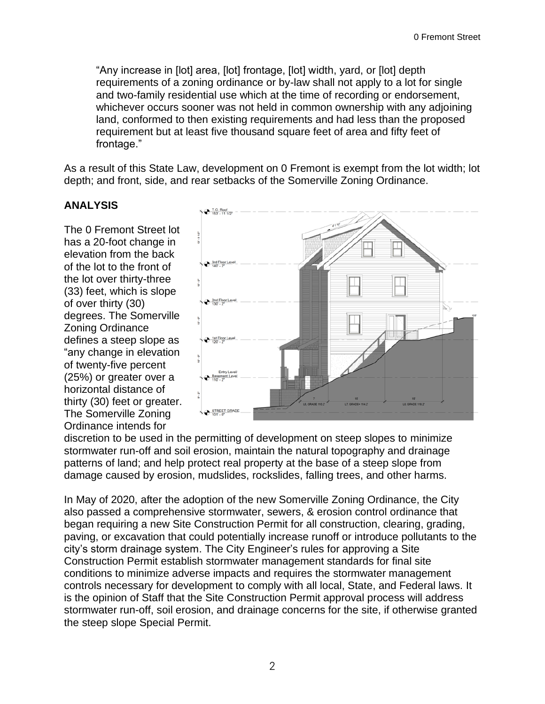"Any increase in [lot] area, [lot] frontage, [lot] width, yard, or [lot] depth requirements of a zoning ordinance or by-law shall not apply to a lot for single and two-family residential use which at the time of recording or endorsement, whichever occurs sooner was not held in common ownership with any adjoining land, conformed to then existing requirements and had less than the proposed requirement but at least five thousand square feet of area and fifty feet of frontage."

As a result of this State Law, development on 0 Fremont is exempt from the lot width; lot depth; and front, side, and rear setbacks of the Somerville Zoning Ordinance.

## **ANALYSIS**

The 0 Fremont Street lot has a 20-foot change in elevation from the back of the lot to the front of the lot over thirty-three (33) feet, which is slope of over thirty (30) degrees. The Somerville Zoning Ordinance defines a steep slope as "any change in elevation of twenty-five percent (25%) or greater over a horizontal distance of thirty (30) feet or greater. The Somerville Zoning Ordinance intends for



discretion to be used in the permitting of development on steep slopes to minimize stormwater run-off and soil erosion, maintain the natural topography and drainage patterns of land; and help protect real property at the base of a steep slope from damage caused by erosion, mudslides, rockslides, falling trees, and other harms.

In May of 2020, after the adoption of the new Somerville Zoning Ordinance, the City also passed a comprehensive stormwater, sewers, & erosion control ordinance that began requiring a new Site Construction Permit for all construction, clearing, grading, paving, or excavation that could potentially increase runoff or introduce pollutants to the city's storm drainage system. The City Engineer's rules for approving a Site Construction Permit establish stormwater management standards for final site conditions to minimize adverse impacts and requires the stormwater management controls necessary for development to comply with all local, State, and Federal laws. It is the opinion of Staff that the Site Construction Permit approval process will address stormwater run-off, soil erosion, and drainage concerns for the site, if otherwise granted the steep slope Special Permit.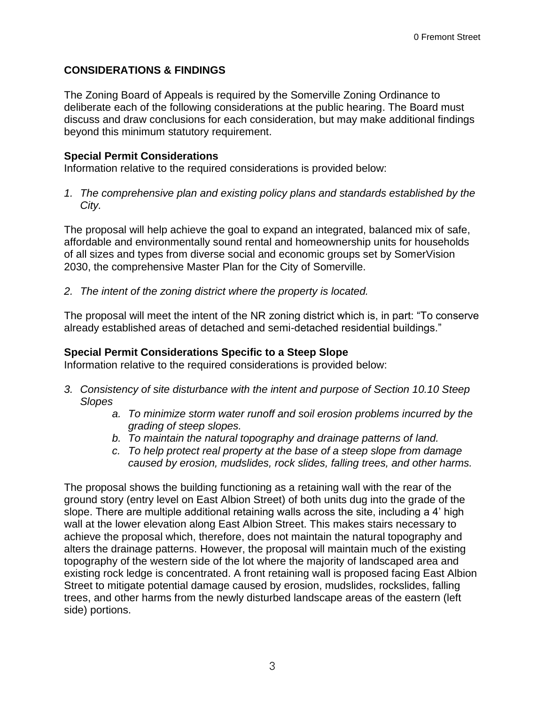#### **CONSIDERATIONS & FINDINGS**

The Zoning Board of Appeals is required by the Somerville Zoning Ordinance to deliberate each of the following considerations at the public hearing. The Board must discuss and draw conclusions for each consideration, but may make additional findings beyond this minimum statutory requirement.

#### **Special Permit Considerations**

Information relative to the required considerations is provided below:

*1. The comprehensive plan and existing policy plans and standards established by the City.*

The proposal will help achieve the goal to expand an integrated, balanced mix of safe, affordable and environmentally sound rental and homeownership units for households of all sizes and types from diverse social and economic groups set by SomerVision 2030, the comprehensive Master Plan for the City of Somerville.

*2. The intent of the zoning district where the property is located.*

The proposal will meet the intent of the NR zoning district which is, in part: "To conserve already established areas of detached and semi-detached residential buildings."

#### **Special Permit Considerations Specific to a Steep Slope**

Information relative to the required considerations is provided below:

- *3. Consistency of site disturbance with the intent and purpose of Section 10.10 Steep Slopes*
	- *a. To minimize storm water runoff and soil erosion problems incurred by the grading of steep slopes.*
	- *b. To maintain the natural topography and drainage patterns of land.*
	- *c. To help protect real property at the base of a steep slope from damage caused by erosion, mudslides, rock slides, falling trees, and other harms.*

The proposal shows the building functioning as a retaining wall with the rear of the ground story (entry level on East Albion Street) of both units dug into the grade of the slope. There are multiple additional retaining walls across the site, including a 4' high wall at the lower elevation along East Albion Street. This makes stairs necessary to achieve the proposal which, therefore, does not maintain the natural topography and alters the drainage patterns. However, the proposal will maintain much of the existing topography of the western side of the lot where the majority of landscaped area and existing rock ledge is concentrated. A front retaining wall is proposed facing East Albion Street to mitigate potential damage caused by erosion, mudslides, rockslides, falling trees, and other harms from the newly disturbed landscape areas of the eastern (left side) portions.